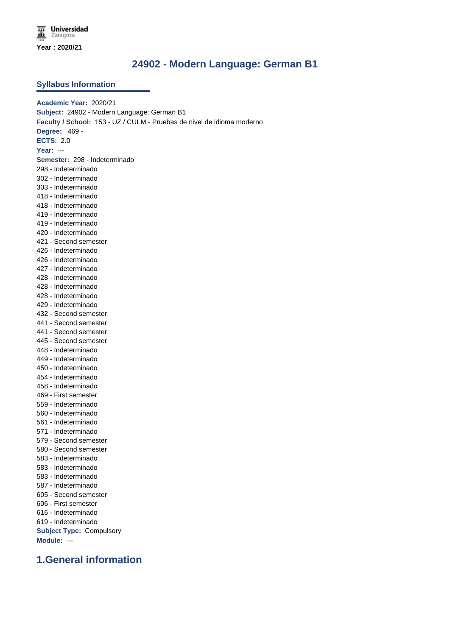### **24902 - Modern Language: German B1**

#### **Syllabus Information**

**Academic Year:** 2020/21 **Subject:** 24902 - Modern Language: German B1 **Faculty / School:** 153 - UZ / CULM - Pruebas de nivel de idioma moderno **Degree:** 469 - **ECTS:** 2.0 **Year:** --- **Semester:** 298 - Indeterminado 298 - Indeterminado 302 - Indeterminado 303 - Indeterminado 418 - Indeterminado 418 - Indeterminado 419 - Indeterminado 419 - Indeterminado 420 - Indeterminado 421 - Second semester 426 - Indeterminado 426 - Indeterminado 427 - Indeterminado 428 - Indeterminado 428 - Indeterminado 428 - Indeterminado 429 - Indeterminado 432 - Second semester 441 - Second semester 441 - Second semester 445 - Second semester 448 - Indeterminado 449 - Indeterminado 450 - Indeterminado 454 - Indeterminado 458 - Indeterminado 469 - First semester 559 - Indeterminado 560 - Indeterminado 561 - Indeterminado 571 - Indeterminado 579 - Second semester 580 - Second semester 583 - Indeterminado 583 - Indeterminado 583 - Indeterminado 587 - Indeterminado 605 - Second semester 606 - First semester 616 - Indeterminado 619 - Indeterminado **Subject Type:** Compulsory **Module:** --- **1.General information**